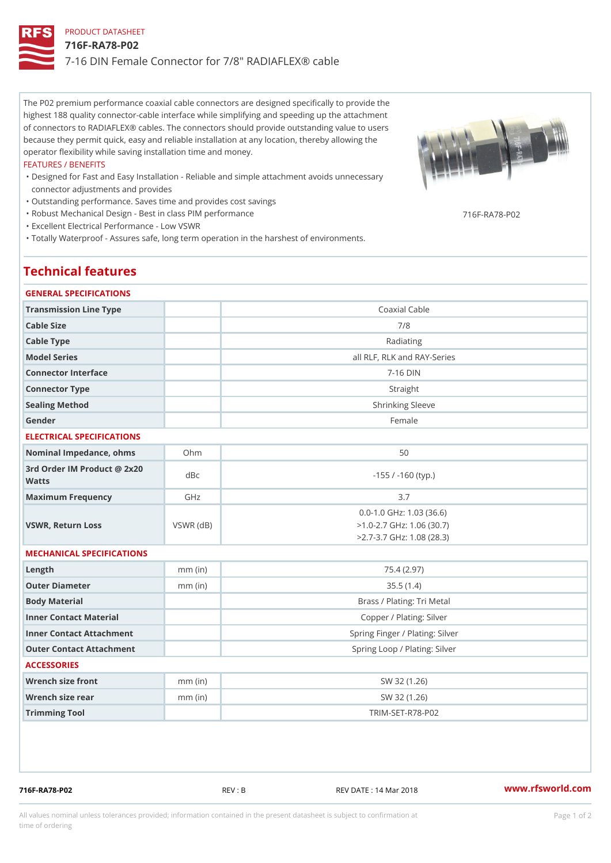## PRODUCT DATASHEET 716F-RA78-P02 7-16 DIN Female Connector for 7/8" RADIAFLEX® cable

The P02 premium performance coaxial cable connectors are designed specifically to provide the highest 188 quality connector-cable interface while simplifying and speeding up the attachment of connectors to RADIAFLEX® cables. The connectors should provide outstanding value to users because they permit quick, easy and reliable installation at any location, thereby allowing the operator flexibility while saving installation time and money.

#### FEATURES / BENEFITS

- Designed for Fast and Easy Installation Reliable and simple attachment avoids unnecessary " connector adjustments and provides
- "Outstanding performance. Saves time and provides cost savings
- "Robust Mechanical Design Best in class PIM performance

"Excellent Electrical Performance - Low VSWR

"Totally Waterproof - Assures safe, long term operation in the harshest of environments.

# Technical features

## GENERAL SPECIFICATIONS

| GENERAL SPECIFICATIONS                      |                 |                                                                                                |  |  |
|---------------------------------------------|-----------------|------------------------------------------------------------------------------------------------|--|--|
| Transmission Line Type                      |                 | Coaxial Cable                                                                                  |  |  |
| Cable Size                                  |                 | 7/8                                                                                            |  |  |
| Cable Type                                  |                 | Radiating                                                                                      |  |  |
| Model Series                                |                 | all RLF, RLK and RAY-Series                                                                    |  |  |
| Connector Interface                         |                 | $7 - 16$ DIN                                                                                   |  |  |
| Connector Type                              |                 | Straight                                                                                       |  |  |
| Sealing Method                              |                 | Shrinking Sleeve                                                                               |  |  |
| Gender                                      |                 | Female                                                                                         |  |  |
| ELECTRICAL SPECIFICATIONS                   |                 |                                                                                                |  |  |
| Nominal Impedance, ohins Ohm                |                 | 50                                                                                             |  |  |
| 3rd Order IM Product @ 2x20<br>dBc<br>Watts |                 | $-155$ / $-160$ (typ.)                                                                         |  |  |
| Maximum Frequency                           | GHz             | 3.7                                                                                            |  |  |
| VSWR, Return Loss                           | $VSWR$ ( $dB$ ) | $0.0 - 1.0$ GHz: 1.03 (36.6)<br>$>1.0 - 2.7$ GHz: 1.06 (30.7)<br>$>2.7 - 3.7$ GHz: 1.08 (28.3) |  |  |
| MECHANICAL SPECIFICATIONS                   |                 |                                                                                                |  |  |
| $L$ ength                                   | $mm$ (in)       | 75.4 (2.97)                                                                                    |  |  |
| Outer Diameter                              | $mm$ (in)       | 35.5(1.4)                                                                                      |  |  |
| Body Material                               |                 | Brass / Plating: Tri Metal                                                                     |  |  |
| Inner Contact Material                      |                 | Copper / Plating: Silver                                                                       |  |  |
| Inner Contact Attachment                    |                 | Spring Finger / Plating: Silver                                                                |  |  |
| Outer Contact Attachment                    |                 | Spring Loop / Plating: Silver                                                                  |  |  |
| <b>ACCESSORIES</b>                          |                 |                                                                                                |  |  |
| Wrench size front                           | $mm$ (in)       | SW 32 (1.26)                                                                                   |  |  |
| Wrench size rear                            | $mm$ (in)       | SW 32 (1.26)                                                                                   |  |  |
| Trimming Tool                               |                 | TRIM-SET-R78-P02                                                                               |  |  |
|                                             |                 |                                                                                                |  |  |

716F-RA78-P02 REV : B REV DATE : 14 Mar 2018 [www.](https://www.rfsworld.com)rfsworld.com

716F-RA78-P02

All values nominal unless tolerances provided; information contained in the present datasheet is subject to Pcapgeign manation time of ordering